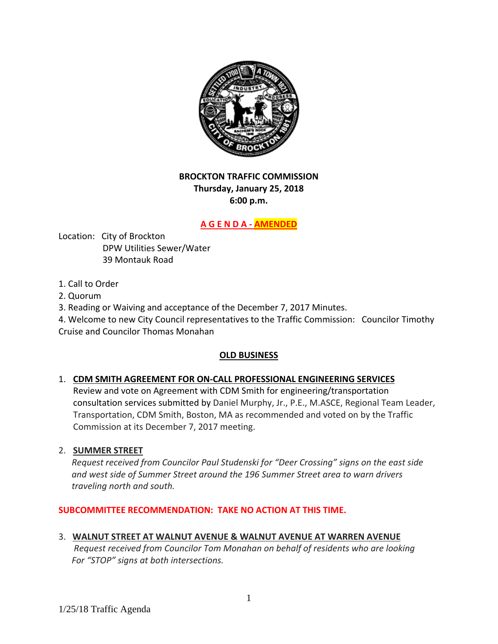

# **BROCKTON TRAFFIC COMMISSION Thursday, January 25, 2018 6:00 p.m.**

# **A G E N D A ‐ AMENDED**

Location: City of Brockton DPW Utilities Sewer/Water 39 Montauk Road

- 1. Call to Order
- 2. Quorum
- 3. Reading or Waiving and acceptance of the December 7, 2017 Minutes.

4. Welcome to new City Council representatives to the Traffic Commission: Councilor Timothy Cruise and Councilor Thomas Monahan

## **OLD BUSINESS**

## 1. **CDM SMITH AGREEMENT FOR ON‐CALL PROFESSIONAL ENGINEERING SERVICES**

Review and vote on Agreement with CDM Smith for engineering/transportation consultation services submitted by Daniel Murphy, Jr., P.E., M.ASCE, Regional Team Leader, Transportation, CDM Smith, Boston, MA as recommended and voted on by the Traffic Commission at its December 7, 2017 meeting.

## 2. **SUMMER STREET**

 *Request received from Councilor Paul Studenski for "Deer Crossing" signs on the east side and west side of Summer Street around the 196 Summer Street area to warn drivers traveling north and south.*

## **SUBCOMMITTEE RECOMMENDATION: TAKE NO ACTION AT THIS TIME.**

## 3. **WALNUT STREET AT WALNUT AVENUE & WALNUT AVENUE AT WARREN AVENUE**

 *Request received from Councilor Tom Monahan on behalf of residents who are looking For "STOP" signs at both intersections.*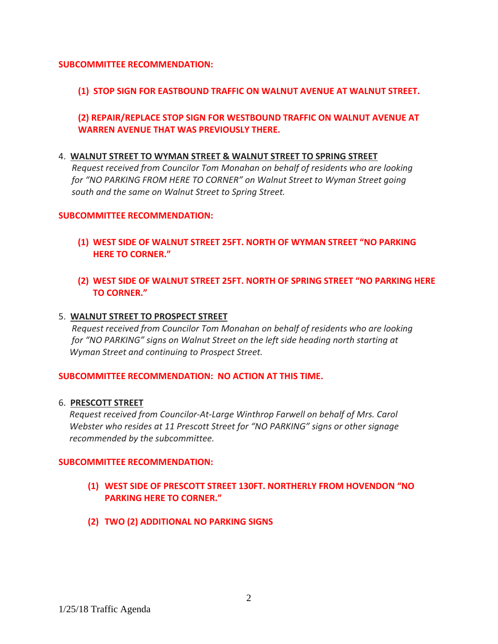## **SUBCOMMITTEE RECOMMENDATION:**

## **(1) STOP SIGN FOR EASTBOUND TRAFFIC ON WALNUT AVENUE AT WALNUT STREET.**

# **(2) REPAIR/REPLACE STOP SIGN FOR WESTBOUND TRAFFIC ON WALNUT AVENUE AT WARREN AVENUE THAT WAS PREVIOUSLY THERE.**

#### 4. **WALNUT STREET TO WYMAN STREET & WALNUT STREET TO SPRING STREET**

 *Request received from Councilor Tom Monahan on behalf of residents who are looking for "NO PARKING FROM HERE TO CORNER" on Walnut Street to Wyman Street going south and the same on Walnut Street to Spring Street.*

#### **SUBCOMMITTEE RECOMMENDATION:**

- **(1) WEST SIDE OF WALNUT STREET 25FT. NORTH OF WYMAN STREET "NO PARKING HERE TO CORNER."**
- **(2) WEST SIDE OF WALNUT STREET 25FT. NORTH OF SPRING STREET "NO PARKING HERE TO CORNER."**

#### 5. **WALNUT STREET TO PROSPECT STREET**

 *Request received from Councilor Tom Monahan on behalf of residents who are looking for "NO PARKING" signs on Walnut Street on the left side heading north starting at Wyman Street and continuing to Prospect Street.*

#### **SUBCOMMITTEE RECOMMENDATION: NO ACTION AT THIS TIME.**

6. **PRESCOTT STREET**

 *Request received from Councilor‐At‐Large Winthrop Farwell on behalf of Mrs. Carol Webster who resides at 11 Prescott Street for "NO PARKING" signs or other signage recommended by the subcommittee.*

#### **SUBCOMMITTEE RECOMMENDATION:**

- **(1) WEST SIDE OF PRESCOTT STREET 130FT. NORTHERLY FROM HOVENDON "NO PARKING HERE TO CORNER."**
- **(2) TWO (2) ADDITIONAL NO PARKING SIGNS**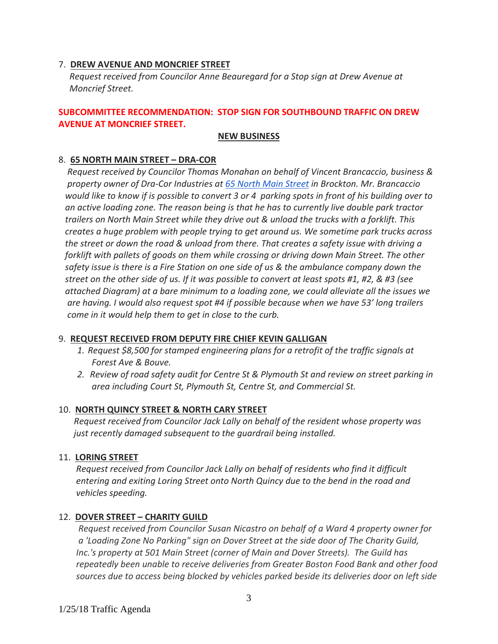## 7. **DREW AVENUE AND MONCRIEF STREET**

 *Request received from Councilor Anne Beauregard for a Stop sign at Drew Avenue at Moncrief Street.*

## **SUBCOMMITTEE RECOMMENDATION: STOP SIGN FOR SOUTHBOUND TRAFFIC ON DREW AVENUE AT MONCRIEF STREET.**

#### **NEW BUSINESS**

## 8. **65 NORTH MAIN STREET – DRA‐COR**

 *Request received by Councilor Thomas Monahan on behalf of Vincent Brancaccio, business & property owner of Dra‐Cor Industries at 65 North Main Street in Brockton. Mr. Brancaccio*  would like to know if is possible to convert 3 or 4 parking spots in front of his building over to an active loading zone. The reason being is that he has to currently live double park tractor trailers on North Main Street while they drive out & unload the trucks with a forklift. This  *creates a huge problem with people trying to get around us. We sometime park trucks across*  the street or down the road & unload from there. That creates a safety issue with driving a  *forklift with pallets of goods on them while crossing or driving down Main Street. The other*  safety issue is there is a Fire Station on one side of us & the ambulance company down the street on the other side of us. If it was possible to convert at least spots #1, #2, & #3 (see attached Diagram) at a bare minimum to a loading zone, we could alleviate all the issues we are having. I would also request spot #4 if possible because when we have 53' long trailers  *come in it would help them to get in close to the curb.*

## 9. **REQUEST RECEIVED FROM DEPUTY FIRE CHIEF KEVIN GALLIGAN**

- *1. Request \$8,500 for stamped engineering plans for a retrofit of the traffic signals at Forest Ave & Bouve.*
- *2. Review of road safety audit for Centre St & Plymouth St and review on street parking in area including Court St, Plymouth St, Centre St, and Commercial St.*

## 10. **NORTH QUINCY STREET & NORTH CARY STREET**

 *Request received from Councilor Jack Lally on behalf of the resident whose property was just recently damaged subsequent to the guardrail being installed.*

#### 11. **LORING STREET**

 *Request received from Councilor Jack Lally on behalf of residents who find it difficult entering and exiting Loring Street onto North Quincy due to the bend in the road and vehicles speeding.*

## 12. **DOVER STREET – CHARITY GUILD**

 *Request received from Councilor Susan Nicastro on behalf of a Ward 4 property owner for*  a 'Loading Zone No Parking" sign on Dover Street at the side door of The Charity Guild,  *Inc.'s property at 501 Main Street (corner of Main and Dover Streets). The Guild has repeatedly been unable to receive deliveries from Greater Boston Food Bank and other food*  sources due to access being blocked by vehicles parked beside its deliveries door on left side